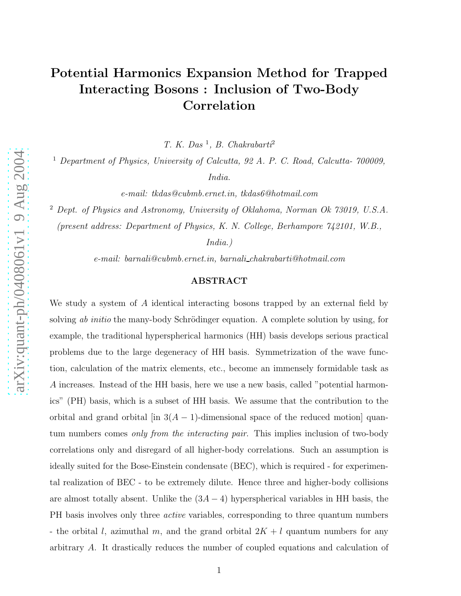# Potential Harmonics Expansion Method for Trapped Interacting Bosons : Inclusion of Two-Body Correlation

*T. K. Das* 1 *, B. Chakrabarti* 2

<sup>1</sup> *Department of Physics, University of Calcutta, 92 A. P. C. Road, Calcutta- 700009,*

*India.*

*e-mail: tkdas@cubmb.ernet.in, tkdas6@hotmail.com*

<sup>2</sup> *Dept. of Physics and Astronomy, University of Oklahoma, Norman Ok 73019, U.S.A. (present address: Department of Physics, K. N. College, Berhampore 742101, W.B.,*

*India.)*

*e-mail: barnali@cubmb.ernet.in, barnali chakrabarti@hotmail.com*

#### ABSTRACT

We study a system of A identical interacting bosons trapped by an external field by solving *ab initio* the many-body Schrödinger equation. A complete solution by using, for example, the traditional hyperspherical harmonics (HH) basis develops serious practical problems due to the large degeneracy of HH basis. Symmetrization of the wave function, calculation of the matrix elements, etc., become an immensely formidable task as A increases. Instead of the HH basis, here we use a new basis, called "potential harmonics" (PH) basis, which is a subset of HH basis. We assume that the contribution to the orbital and grand orbital  $\left[\text{in } 3(A-1)\text{-dimensional space of the reduced motion}\right]$  quantum numbers comes *only from the interacting pair*. This implies inclusion of two-body correlations only and disregard of all higher-body correlations. Such an assumption is ideally suited for the Bose-Einstein condensate (BEC), which is required - for experimental realization of BEC - to be extremely dilute. Hence three and higher-body collisions are almost totally absent. Unlike the  $(3A - 4)$  hyperspherical variables in HH basis, the PH basis involves only three *active* variables, corresponding to three quantum numbers - the orbital l, azimuthal m, and the grand orbital  $2K + l$  quantum numbers for any arbitrary A. It drastically reduces the number of coupled equations and calculation of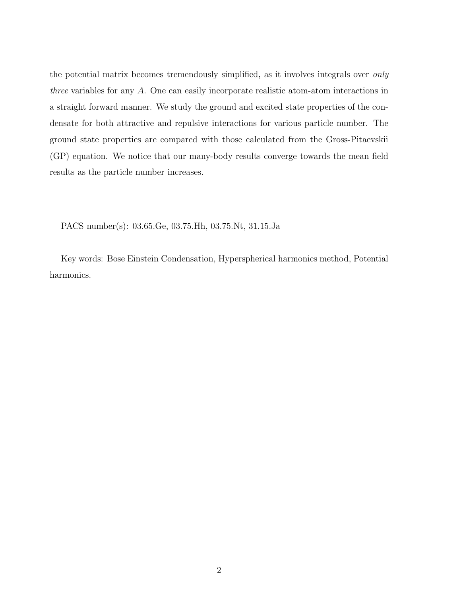the potential matrix becomes tremendously simplified, as it involves integrals over *only three* variables for any A. One can easily incorporate realistic atom-atom interactions in a straight forward manner. We study the ground and excited state properties of the condensate for both attractive and repulsive interactions for various particle number. The ground state properties are compared with those calculated from the Gross-Pitaevskii (GP) equation. We notice that our many-body results converge towards the mean field results as the particle number increases.

PACS number(s): 03.65.Ge, 03.75.Hh, 03.75.Nt, 31.15.Ja

Key words: Bose Einstein Condensation, Hyperspherical harmonics method, Potential harmonics.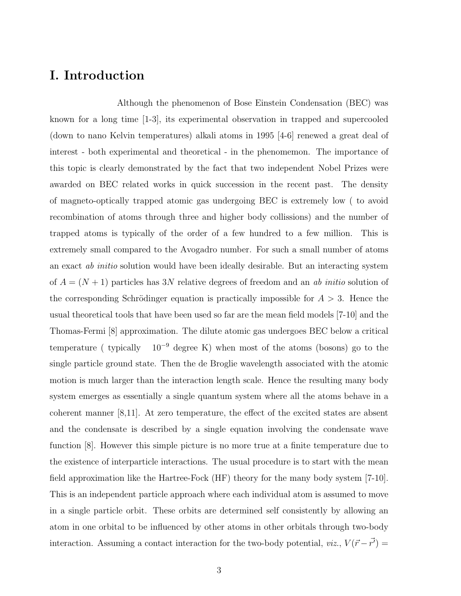## I. Introduction

Although the phenomenon of Bose Einstein Condensation (BEC) was known for a long time [1-3], its experimental observation in trapped and supercooled (down to nano Kelvin temperatures) alkali atoms in 1995 [4-6] renewed a great deal of interest - both experimental and theoretical - in the phenomemon. The importance of this topic is clearly demonstrated by the fact that two independent Nobel Prizes were awarded on BEC related works in quick succession in the recent past. The density of magneto-optically trapped atomic gas undergoing BEC is extremely low ( to avoid recombination of atoms through three and higher body collissions) and the number of trapped atoms is typically of the order of a few hundred to a few million. This is extremely small compared to the Avogadro number. For such a small number of atoms an exact *ab initio* solution would have been ideally desirable. But an interacting system of  $A = (N + 1)$  particles has 3N relative degrees of freedom and an *ab initio* solution of the corresponding Schrödinger equation is practically impossible for  $A > 3$ . Hence the usual theoretical tools that have been used so far are the mean field models [7-10] and the Thomas-Fermi [8] approximation. The dilute atomic gas undergoes BEC below a critical temperature ( typically  $10^{-9}$  degree K) when most of the atoms (bosons) go to the single particle ground state. Then the de Broglie wavelength associated with the atomic motion is much larger than the interaction length scale. Hence the resulting many body system emerges as essentially a single quantum system where all the atoms behave in a coherent manner [8,11]. At zero temperature, the effect of the excited states are absent and the condensate is described by a single equation involving the condensate wave function [8]. However this simple picture is no more true at a finite temperature due to the existence of interparticle interactions. The usual procedure is to start with the mean field approximation like the Hartree-Fock (HF) theory for the many body system [7-10]. This is an independent particle approach where each individual atom is assumed to move in a single particle orbit. These orbits are determined self consistently by allowing an atom in one orbital to be influenced by other atoms in other orbitals through two-body interaction. Assuming a contact interaction for the two-body potential,  $viz, V(\vec{r} - \vec{r'}) =$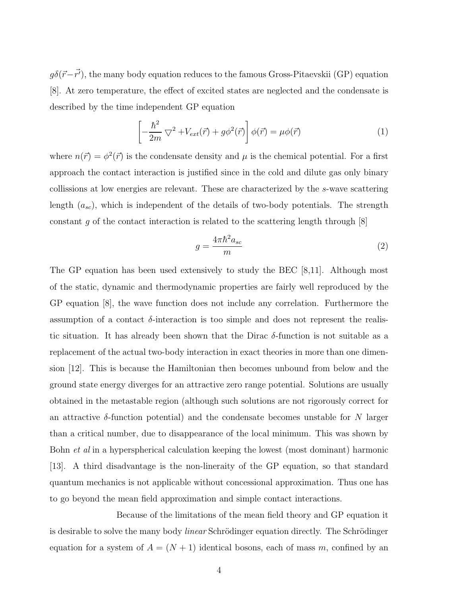$g\delta(\vec{r}-\vec{r'})$ , the many body equation reduces to the famous Gross-Pitaevskii (GP) equation [8]. At zero temperature, the effect of excited states are neglected and the condensate is described by the time independent GP equation

$$
\left[ -\frac{\hbar^2}{2m} \nabla^2 + V_{ext}(\vec{r}) + g\phi^2(\vec{r}) \right] \phi(\vec{r}) = \mu\phi(\vec{r}) \tag{1}
$$

where  $n(\vec{r}) = \phi^2(\vec{r})$  is the condensate density and  $\mu$  is the chemical potential. For a first approach the contact interaction is justified since in the cold and dilute gas only binary collissions at low energies are relevant. These are characterized by the s-wave scattering length  $(a_{sc})$ , which is independent of the details of two-body potentials. The strength constant q of the contact interaction is related to the scattering length through  $[8]$ 

$$
g = \frac{4\pi\hbar^2 a_{sc}}{m} \tag{2}
$$

The GP equation has been used extensively to study the BEC [8,11]. Although most of the static, dynamic and thermodynamic properties are fairly well reproduced by the GP equation [8], the wave function does not include any correlation. Furthermore the assumption of a contact  $\delta$ -interaction is too simple and does not represent the realistic situation. It has already been shown that the Dirac  $\delta$ -function is not suitable as a replacement of the actual two-body interaction in exact theories in more than one dimension [12]. This is because the Hamiltonian then becomes unbound from below and the ground state energy diverges for an attractive zero range potential. Solutions are usually obtained in the metastable region (although such solutions are not rigorously correct for an attractive  $\delta$ -function potential) and the condensate becomes unstable for N larger than a critical number, due to disappearance of the local minimum. This was shown by Bohn *et al* in a hyperspherical calculation keeping the lowest (most dominant) harmonic [13]. A third disadvantage is the non-lineraity of the GP equation, so that standard quantum mechanics is not applicable without concessional approximation. Thus one has to go beyond the mean field approximation and simple contact interactions.

Because of the limitations of the mean field theory and GP equation it is desirable to solve the many body *linear* Schrödinger equation directly. The Schrödinger equation for a system of  $A = (N + 1)$  identical bosons, each of mass m, confined by an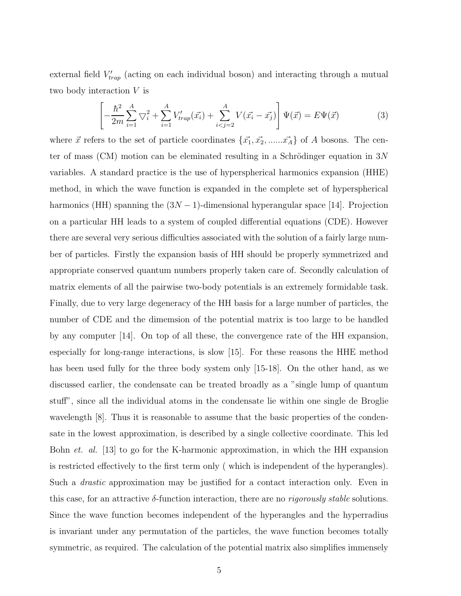external field  $V'_{trap}$  (acting on each individual boson) and interacting through a mutual two body interaction V is

$$
\left[ -\frac{\hbar^2}{2m} \sum_{i=1}^A \nabla_i^2 + \sum_{i=1}^A V'_{trap}(\vec{x_i}) + \sum_{i < j=2}^A V(\vec{x_i} - \vec{x_j}) \right] \Psi(\vec{x}) = E \Psi(\vec{x}) \tag{3}
$$

where  $\vec{x}$  refers to the set of particle coordinates  $\{\vec{x_1}, \vec{x_2}, \dots, \vec{x_A}\}$  of A bosons. The center of mass (CM) motion can be eleminated resulting in a Schrödinger equation in  $3N$ variables. A standard practice is the use of hyperspherical harmonics expansion (HHE) method, in which the wave function is expanded in the complete set of hyperspherical harmonics (HH) spanning the  $(3N-1)$ -dimensional hyperangular space [14]. Projection on a particular HH leads to a system of coupled differential equations (CDE). However there are several very serious difficulties associated with the solution of a fairly large number of particles. Firstly the expansion basis of HH should be properly symmetrized and appropriate conserved quantum numbers properly taken care of. Secondly calculation of matrix elements of all the pairwise two-body potentials is an extremely formidable task. Finally, due to very large degeneracy of the HH basis for a large number of particles, the number of CDE and the dimemsion of the potential matrix is too large to be handled by any computer [14]. On top of all these, the convergence rate of the HH expansion, especially for long-range interactions, is slow [15]. For these reasons the HHE method has been used fully for the three body system only [15-18]. On the other hand, as we discussed earlier, the condensate can be treated broadly as a "single lump of quantum stuff", since all the individual atoms in the condensate lie within one single de Broglie wavelength [8]. Thus it is reasonable to assume that the basic properties of the condensate in the lowest approximation, is described by a single collective coordinate. This led Bohn *et. al.* [13] to go for the K-harmonic approximation, in which the HH expansion is restricted effectively to the first term only ( which is independent of the hyperangles). Such a *drastic* approximation may be justified for a contact interaction only. Even in this case, for an attractive δ-function interaction, there are no *rigorously stable* solutions. Since the wave function becomes independent of the hyperangles and the hyperradius is invariant under any permutation of the particles, the wave function becomes totally symmetric, as required. The calculation of the potential matrix also simplifies immensely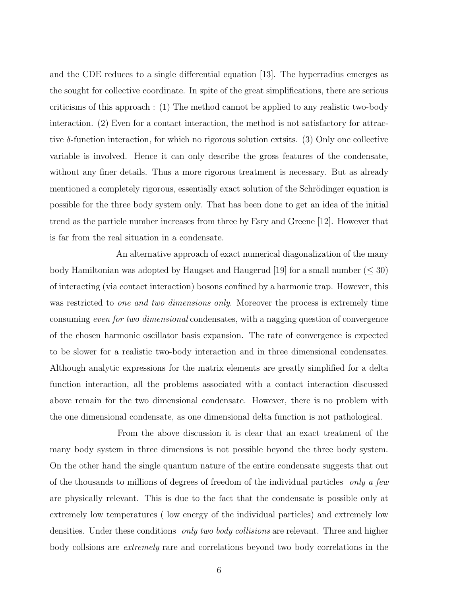and the CDE reduces to a single differential equation [13]. The hyperradius emerges as the sought for collective coordinate. In spite of the great simplifications, there are serious criticisms of this approach : (1) The method cannot be applied to any realistic two-body interaction. (2) Even for a contact interaction, the method is not satisfactory for attractive  $\delta$ -function interaction, for which no rigorous solution extsits. (3) Only one collective variable is involved. Hence it can only describe the gross features of the condensate, without any finer details. Thus a more rigorous treatment is necessary. But as already mentioned a completely rigorous, essentially exact solution of the Schrödinger equation is possible for the three body system only. That has been done to get an idea of the initial trend as the particle number increases from three by Esry and Greene [12]. However that is far from the real situation in a condensate.

An alternative approach of exact numerical diagonalization of the many body Hamiltonian was adopted by Haugset and Haugerud [19] for a small number  $(\leq 30)$ of interacting (via contact interaction) bosons confined by a harmonic trap. However, this was restricted to *one and two dimensions only*. Moreover the process is extremely time consuming *even for two dimensional* condensates, with a nagging question of convergence of the chosen harmonic oscillator basis expansion. The rate of convergence is expected to be slower for a realistic two-body interaction and in three dimensional condensates. Although analytic expressions for the matrix elements are greatly simplified for a delta function interaction, all the problems associated with a contact interaction discussed above remain for the two dimensional condensate. However, there is no problem with the one dimensional condensate, as one dimensional delta function is not pathological.

From the above discussion it is clear that an exact treatment of the many body system in three dimensions is not possible beyond the three body system. On the other hand the single quantum nature of the entire condensate suggests that out of the thousands to millions of degrees of freedom of the individual particles *only a few* are physically relevant. This is due to the fact that the condensate is possible only at extremely low temperatures ( low energy of the individual particles) and extremely low densities. Under these conditions *only two body collisions* are relevant. Three and higher body collsions are *extremely* rare and correlations beyond two body correlations in the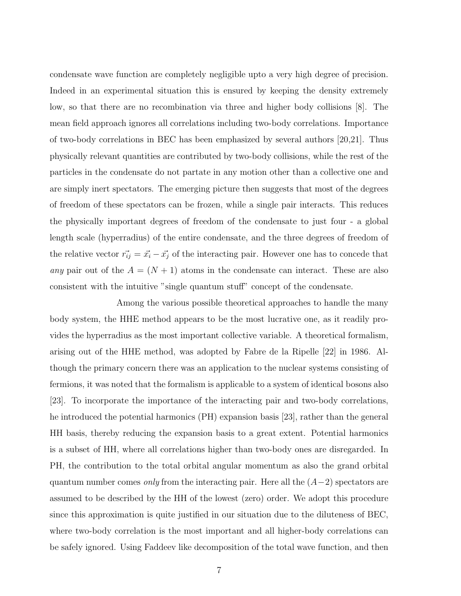condensate wave function are completely negligible upto a very high degree of precision. Indeed in an experimental situation this is ensured by keeping the density extremely low, so that there are no recombination via three and higher body collisions [8]. The mean field approach ignores all correlations including two-body correlations. Importance of two-body correlations in BEC has been emphasized by several authors [20,21]. Thus physically relevant quantities are contributed by two-body collisions, while the rest of the particles in the condensate do not partate in any motion other than a collective one and are simply inert spectators. The emerging picture then suggests that most of the degrees of freedom of these spectators can be frozen, while a single pair interacts. This reduces the physically important degrees of freedom of the condensate to just four - a global length scale (hyperradius) of the entire condensate, and the three degrees of freedom of the relative vector  $\vec{r}_{ij} = \vec{x}_i - \vec{x}_j$  of the interacting pair. However one has to concede that *any* pair out of the  $A = (N + 1)$  atoms in the condensate can interact. These are also consistent with the intuitive "single quantum stuff" concept of the condensate.

Among the various possible theoretical approaches to handle the many body system, the HHE method appears to be the most lucrative one, as it readily provides the hyperradius as the most important collective variable. A theoretical formalism, arising out of the HHE method, was adopted by Fabre de la Ripelle [22] in 1986. Although the primary concern there was an application to the nuclear systems consisting of fermions, it was noted that the formalism is applicable to a system of identical bosons also [23]. To incorporate the importance of the interacting pair and two-body correlations, he introduced the potential harmonics (PH) expansion basis [23], rather than the general HH basis, thereby reducing the expansion basis to a great extent. Potential harmonics is a subset of HH, where all correlations higher than two-body ones are disregarded. In PH, the contribution to the total orbital angular momentum as also the grand orbital quantum number comes *only* from the interacting pair. Here all the (A−2) spectators are assumed to be described by the HH of the lowest (zero) order. We adopt this procedure since this approximation is quite justified in our situation due to the diluteness of BEC, where two-body correlation is the most important and all higher-body correlations can be safely ignored. Using Faddeev like decomposition of the total wave function, and then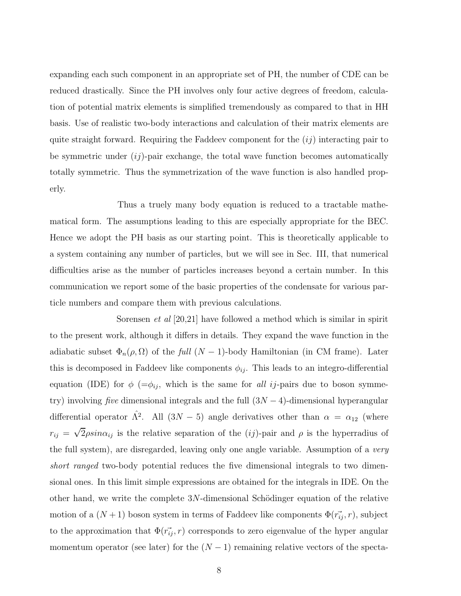expanding each such component in an appropriate set of PH, the number of CDE can be reduced drastically. Since the PH involves only four active degrees of freedom, calculation of potential matrix elements is simplified tremendously as compared to that in HH basis. Use of realistic two-body interactions and calculation of their matrix elements are quite straight forward. Requiring the Faddeev component for the  $(ij)$  interacting pair to be symmetric under  $(ij)$ -pair exchange, the total wave function becomes automatically totally symmetric. Thus the symmetrization of the wave function is also handled properly.

Thus a truely many body equation is reduced to a tractable mathematical form. The assumptions leading to this are especially appropriate for the BEC. Hence we adopt the PH basis as our starting point. This is theoretically applicable to a system containing any number of particles, but we will see in Sec. III, that numerical difficulties arise as the number of particles increases beyond a certain number. In this communication we report some of the basic properties of the condensate for various particle numbers and compare them with previous calculations.

Sorensen *et al* [20,21] have followed a method which is similar in spirit to the present work, although it differs in details. They expand the wave function in the adiabatic subset  $\Phi_n(\rho, \Omega)$  of the *full*  $(N-1)$ -body Hamiltonian (in CM frame). Later this is decomposed in Faddeev like components  $\phi_{ij}$ . This leads to an integro-differential equation (IDE) for  $\phi$  ( $=\phi_{ij}$ , which is the same for *all ij*-pairs due to boson symmetry) involving *five* dimensional integrals and the full (3N − 4)-dimensional hyperangular differential operator  $\hat{\Lambda}^2$ . All  $(3N-5)$  angle derivatives other than  $\alpha = \alpha_{12}$  (where  $r_{ij} = \sqrt{2} \rho \sin \alpha_{ij}$  is the relative separation of the (*ij*)-pair and  $\rho$  is the hyperradius of the full system), are disregarded, leaving only one angle variable. Assumption of a *very short ranged* two-body potential reduces the five dimensional integrals to two dimensional ones. In this limit simple expressions are obtained for the integrals in IDE. On the other hand, we write the complete  $3N$ -dimensional Schödinger equation of the relative motion of a  $(N+1)$  boson system in terms of Faddeev like components  $\Phi(\vec{r_i}, r)$ , subject to the approximation that  $\Phi(\vec{r_i}, r)$  corresponds to zero eigenvalue of the hyper angular momentum operator (see later) for the  $(N-1)$  remaining relative vectors of the specta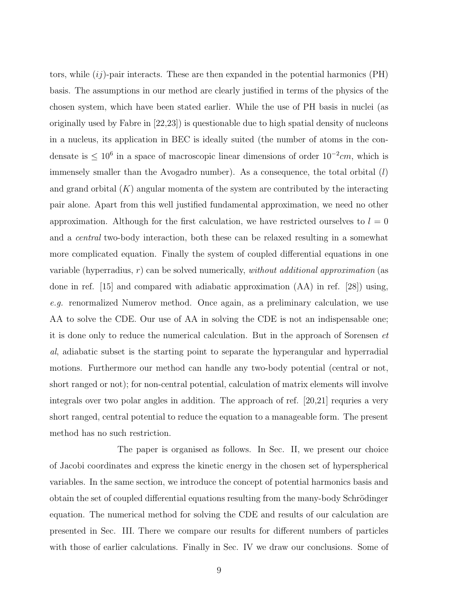tors, while  $(ij)$ -pair interacts. These are then expanded in the potential harmonics (PH) basis. The assumptions in our method are clearly justified in terms of the physics of the chosen system, which have been stated earlier. While the use of PH basis in nuclei (as originally used by Fabre in [22,23]) is questionable due to high spatial density of nucleons in a nucleus, its application in BEC is ideally suited (the number of atoms in the condensate is  $\leq 10^6$  in a space of macroscopic linear dimensions of order  $10^{-2}$ cm, which is immensely smaller than the Avogadro number). As a consequence, the total orbital  $(l)$ and grand orbital  $(K)$  angular momenta of the system are contributed by the interacting pair alone. Apart from this well justified fundamental approximation, we need no other approximation. Although for the first calculation, we have restricted ourselves to  $l = 0$ and a *central* two-body interaction, both these can be relaxed resulting in a somewhat more complicated equation. Finally the system of coupled differential equations in one variable (hyperradius, r) can be solved numerically, *without additional approximation* (as done in ref. [15] and compared with adiabatic approximation (AA) in ref. [28]) using, *e.g.* renormalized Numerov method. Once again, as a preliminary calculation, we use AA to solve the CDE. Our use of AA in solving the CDE is not an indispensable one; it is done only to reduce the numerical calculation. But in the approach of Sorensen *et al*, adiabatic subset is the starting point to separate the hyperangular and hyperradial motions. Furthermore our method can handle any two-body potential (central or not, short ranged or not); for non-central potential, calculation of matrix elements will involve integrals over two polar angles in addition. The approach of ref. [20,21] requries a very short ranged, central potential to reduce the equation to a manageable form. The present method has no such restriction.

The paper is organised as follows. In Sec. II, we present our choice of Jacobi coordinates and express the kinetic energy in the chosen set of hyperspherical variables. In the same section, we introduce the concept of potential harmonics basis and obtain the set of coupled differential equations resulting from the many-body Schrödinger equation. The numerical method for solving the CDE and results of our calculation are presented in Sec. III. There we compare our results for different numbers of particles with those of earlier calculations. Finally in Sec. IV we draw our conclusions. Some of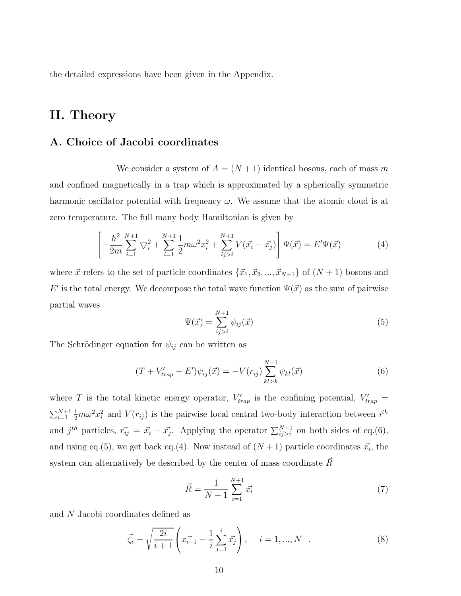the detailed expressions have been given in the Appendix.

## II. Theory

#### A. Choice of Jacobi coordinates

We consider a system of  $A = (N + 1)$  identical bosons, each of mass m and confined magnetically in a trap which is approximated by a spherically symmetric harmonic oscillator potential with frequency  $\omega$ . We assume that the atomic cloud is at zero temperature. The full many body Hamiltonian is given by

$$
\left[ -\frac{\hbar^2}{2m} \sum_{i=1}^{N+1} \nabla_i^2 + \sum_{i=1}^{N+1} \frac{1}{2} m \omega^2 x_i^2 + \sum_{ij>i}^{N+1} V(\vec{x_i} - \vec{x_j}) \right] \Psi(\vec{x}) = E' \Psi(\vec{x}) \tag{4}
$$

where  $\vec{x}$  refers to the set of particle coordinates  $\{\vec{x}_1, \vec{x}_2, ..., \vec{x}_{N+1}\}$  of  $(N + 1)$  bosons and E' is the total energy. We decompose the total wave function  $\Psi(\vec{x})$  as the sum of pairwise partial waves

$$
\Psi(\vec{x}) = \sum_{ij>i}^{N+1} \psi_{ij}(\vec{x})
$$
\n(5)

The Schrödinger equation for  $\psi_{ij}$  can be written as

$$
(T + V'_{trap} - E')\psi_{ij}(\vec{x}) = -V(r_{ij})\sum_{kl>k}^{N+1} \psi_{kl}(\vec{x})
$$
\n(6)

where T is the total kinetic energy operator,  $V'_{trap}$  is the confining potential,  $V'_{trap}$  =  $\sum_{i=1}^{N+1} \frac{1}{2} m \omega^2 x_i^2$  and  $V(r_{ij})$  is the pairwise local central two-body interaction between  $i^{th}$ and  $j^{th}$  particles,  $\vec{r}_{ij} = \vec{x}_i - \vec{x}_j$ . Applying the operator  $\sum_{ij>i}^{N+1}$  on both sides of eq.(6), and using eq.(5), we get back eq.(4). Now instead of  $(N+1)$  particle coordinates  $\vec{x_i}$ , the system can alternatively be described by the center of mass coordinate  $R~$ 

$$
\vec{R} = \frac{1}{N+1} \sum_{i=1}^{N+1} \vec{x_i}
$$
\n(7)

and N Jacobi coordinates defined as

$$
\vec{\zeta}_i = \sqrt{\frac{2i}{i+1}} \left( x_{i+1} - \frac{1}{i} \sum_{j=1}^i x_j \right), \quad i = 1, ..., N \quad . \tag{8}
$$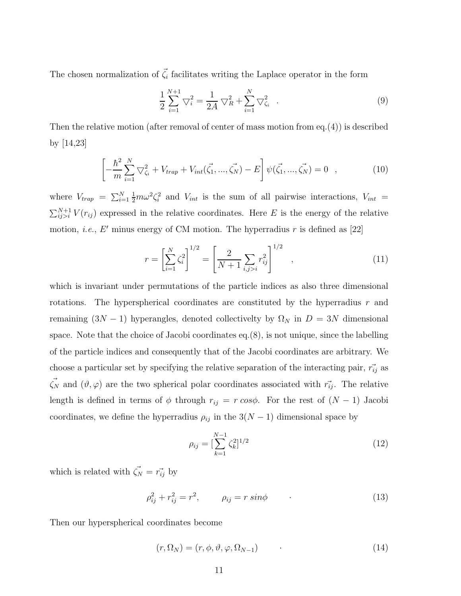The chosen normalization of  $\vec{\zeta}_i$  facilitates writing the Laplace operator in the form

$$
\frac{1}{2} \sum_{i=1}^{N+1} \nabla_i^2 = \frac{1}{2A} \nabla_R^2 + \sum_{i=1}^N \nabla_{\zeta_i}^2 \quad . \tag{9}
$$

Then the relative motion (after removal of center of mass motion from eq.(4)) is described by [14,23]

$$
\left[ -\frac{\hbar^2}{m} \sum_{i=1}^N \nabla^2_{\zeta_i} + V_{trap} + V_{int}(\vec{\zeta_1}, ..., \vec{\zeta_N}) - E \right] \psi(\vec{\zeta_1}, ..., \vec{\zeta_N}) = 0 \quad , \tag{10}
$$

where  $V_{trap} = \sum_{i=1}^{N} \frac{1}{2} m \omega^2 \zeta_i^2$  and  $V_{int}$  is the sum of all pairwise interactions,  $V_{int}$  =  $\sum_{ij>i}^{N+1} V(r_{ij})$  expressed in the relative coordinates. Here E is the energy of the relative motion, *i.e.*, E' minus energy of CM motion. The hyperradius  $r$  is defined as [22]

$$
r = \left[\sum_{i=1}^{N} \zeta_i^2\right]^{1/2} = \left[\frac{2}{N+1} \sum_{i,j>i} r_{ij}^2\right]^{1/2}, \qquad (11)
$$

which is invariant under permutations of the particle indices as also three dimensional rotations. The hyperspherical coordinates are constituted by the hyperradius  $r$  and remaining  $(3N-1)$  hyperangles, denoted collectivelty by  $\Omega_N$  in  $D = 3N$  dimensional space. Note that the choice of Jacobi coordinates eq.(8), is not unique, since the labelling of the particle indices and consequently that of the Jacobi coordinates are arbitrary. We choose a particular set by specifying the relative separation of the interacting pair,  $\vec{r_{ij}}$  as  $\vec{\zeta_N}$  and  $(\vartheta, \varphi)$  are the two spherical polar coordinates associated with  $\vec{r_{ij}}$ . The relative length is defined in terms of  $\phi$  through  $r_{ij} = r \cos \phi$ . For the rest of  $(N - 1)$  Jacobi coordinates, we define the hyperradius  $\rho_{ij}$  in the  $3(N-1)$  dimensional space by

$$
\rho_{ij} = \left[\sum_{k=1}^{N-1} \zeta_k^2\right]^{1/2} \tag{12}
$$

which is related with  $\vec{\zeta_N} = \vec{r_{ij}}$  by

$$
\rho_{ij}^2 + r_{ij}^2 = r^2, \qquad \rho_{ij} = r \sin \phi \tag{13}
$$

Then our hyperspherical coordinates become

 $(r, \Omega_N) = (r, \phi, \vartheta, \varphi, \Omega_{N-1})$  · (14)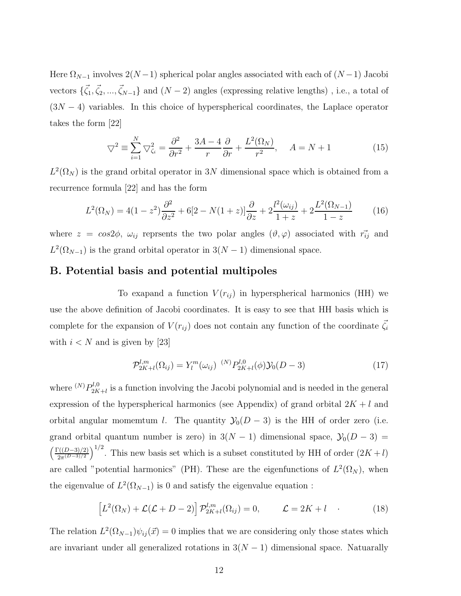Here  $\Omega_{N-1}$  involves  $2(N-1)$  spherical polar angles associated with each of  $(N-1)$  Jacobi vectors  $\{\vec{\zeta}_1, \vec{\zeta}_2, ..., \vec{\zeta}_{N-1}\}\$  and  $(N-2)$  angles (expressing relative lengths), i.e., a total of  $(3N - 4)$  variables. In this choice of hyperspherical coordinates, the Laplace operator takes the form [22]

$$
\nabla^2 \equiv \sum_{i=1}^N \nabla^2_{\zeta_i} = \frac{\partial^2}{\partial r^2} + \frac{3A - 4}{r} \frac{\partial}{\partial r} + \frac{L^2(\Omega_N)}{r^2}, \quad A = N + 1 \tag{15}
$$

 $L^2(\Omega_N)$  is the grand orbital operator in 3N dimensional space which is obtained from a recurrence formula [22] and has the form

$$
L^{2}(\Omega_{N}) = 4(1-z^{2})\frac{\partial^{2}}{\partial z^{2}} + 6[2-N(1+z)]\frac{\partial}{\partial z} + 2\frac{l^{2}(\omega_{ij})}{1+z} + 2\frac{L^{2}(\Omega_{N-1})}{1-z}
$$
(16)

where  $z = cos 2\phi$ ,  $\omega_{ij}$  reprsents the two polar angles  $(\vartheta, \varphi)$  associated with  $\vec{r_{ij}}$  and  $L^2(\Omega_{N-1})$  is the grand orbital operator in  $3(N-1)$  dimensional space.

#### B. Potential basis and potential multipoles

To exapand a function  $V(r_{ij})$  in hyperspherical harmonics (HH) we use the above definition of Jacobi coordinates. It is easy to see that HH basis which is complete for the expansion of  $V(r_{ij})$  does not contain any function of the coordinate  $\vec{\zeta}_i$ with  $i < N$  and is given by [23]

$$
\mathcal{P}_{2K+l}^{l,m}(\Omega_{ij}) = Y_l^m(\omega_{ij})^{(N)} P_{2K+l}^{l,0}(\phi) \mathcal{Y}_0(D-3)
$$
\n(17)

where  ${}^{(N)}P_{2K}^{l,0}$  $2K+1 \leq 2K+1$  is a function involving the Jacobi polynomial and is needed in the general expression of the hyperspherical harmonics (see Appendix) of grand orbital  $2K + l$  and orbital angular momemtum l. The quantity  $\mathcal{Y}_0(D-3)$  is the HH of order zero (i.e. grand orbital quantum number is zero) in  $3(N-1)$  dimensional space,  $\mathcal{Y}_0(D-3)$  =  $\Gamma((D-3)/2)$  $2\pi^{(D-3)/2}$  $\int^{1/2}$ . This new basis set which is a subset constituted by HH of order  $(2K+l)$ are called "potential harmonics" (PH). These are the eigenfunctions of  $L^2(\Omega_N)$ , when the eigenvalue of  $L^2(\Omega_{N-1})$  is 0 and satisfy the eigenvalue equation :

$$
\[L^2(\Omega_N) + \mathcal{L}(\mathcal{L} + D - 2)\right] \mathcal{P}_{2K+l}^{l,m}(\Omega_{ij}) = 0, \qquad \mathcal{L} = 2K + l \quad . \tag{18}
$$

The relation  $L^2(\Omega_{N-1})\psi_{ij}(\vec{x})=0$  implies that we are considering only those states which are invariant under all generalized rotations in  $3(N-1)$  dimensional space. Natuarally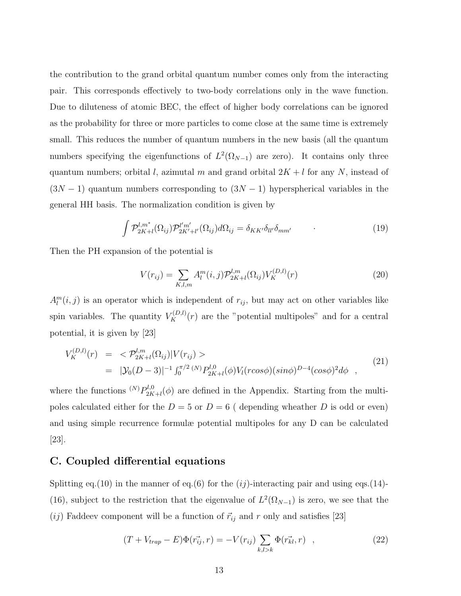the contribution to the grand orbital quantum number comes only from the interacting pair. This corresponds effectively to two-body correlations only in the wave function. Due to diluteness of atomic BEC, the effect of higher body correlations can be ignored as the probability for three or more particles to come close at the same time is extremely small. This reduces the number of quantum numbers in the new basis (all the quantum numbers specifying the eigenfunctions of  $L^2(\Omega_{N-1})$  are zero). It contains only three quantum numbers; orbital l, azimutal m and grand orbital  $2K + l$  for any N, instead of  $(3N-1)$  quantum numbers corresponding to  $(3N-1)$  hyperspherical variables in the general HH basis. The normalization condition is given by

$$
\int \mathcal{P}_{2K+l}^{l,m^*}(\Omega_{ij}) \mathcal{P}_{2K'+l'}^{l'm'}(\Omega_{ij}) d\Omega_{ij} = \delta_{KK'} \delta_{ll'} \delta_{mm'} \tag{19}
$$

Then the PH expansion of the potential is

$$
V(r_{ij}) = \sum_{K,l,m} A_l^m(i,j) \mathcal{P}_{2K+l}^{l,m}(\Omega_{ij}) V_K^{(D,l)}(r)
$$
\n(20)

 $A_l^m(i, j)$  is an operator which is independent of  $r_{ij}$ , but may act on other variables like spin variables. The quantity  $V_K^{(D,l)}(r)$  are the "potential multipoles" and for a central potential, it is given by [23]

$$
V_K^{(D,l)}(r) = \langle \mathcal{P}_{2K+l}^{l,m}(\Omega_{ij}) | V(r_{ij}) \rangle
$$
  
= 
$$
|\mathcal{Y}_0(D-3)|^{-1} \int_0^{\pi/2} {^{(N)}P_{2K+l}}^{l,0}(\phi) V_l(r\cos\phi) (\sin\phi)^{D-4} (\cos\phi)^2 d\phi ,
$$
 (21)

where the functions  $N P_{2K}^{l,0}$  $2K+1(\phi)$  are defined in the Appendix. Starting from the multipoles calculated either for the  $D = 5$  or  $D = 6$  (depending wheather D is odd or even) and using simple recurrence formulæ potential multipoles for any D can be calculated [23].

#### C. Coupled differential equations

Splitting eq.(10) in the manner of eq.(6) for the  $(ij)$ -interacting pair and using eqs.(14)-(16), subject to the restriction that the eigenvalue of  $L^2(\Omega_{N-1})$  is zero, we see that the  $(ij)$  Faddeev component will be a function of  $\vec{r}_{ij}$  and r only and satisfies [23]

$$
(T + V_{trap} - E)\Phi(\vec{r_{ij}}, r) = -V(r_{ij})\sum_{k,l>k}\Phi(\vec{r_{kl}}, r) , \qquad (22)
$$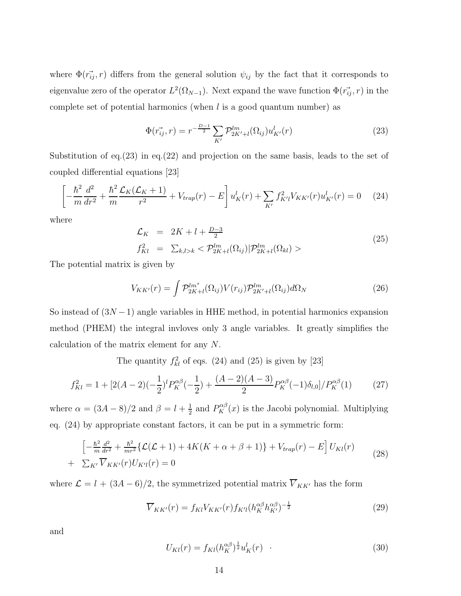where  $\Phi(\vec{r}_{ij}, r)$  differs from the general solution  $\psi_{ij}$  by the fact that it corresponds to eigenvalue zero of the operator  $L^2(\Omega_{N-1})$ . Next expand the wave function  $\Phi(\vec{r}_{ij},r)$  in the complete set of potential harmonics (when  $l$  is a good quantum number) as

$$
\Phi(\vec{r}_{ij}, r) = r^{-\frac{D-1}{2}} \sum_{K'} \mathcal{P}_{2K'+l}^{lm}(\Omega_{ij}) u_{K'}^{l}(r)
$$
\n(23)

Substitution of eq.(23) in eq.(22) and projection on the same basis, leads to the set of coupled differential equations [23]

$$
\left[-\frac{\hbar^2}{m}\frac{d^2}{dr^2} + \frac{\hbar^2}{m}\frac{\mathcal{L}_K(\mathcal{L}_K + 1)}{r^2} + V_{trap}(r) - E\right]u_K^l(r) + \sum_{K'} f_{K'l}^2 V_{KK'}(r)u_{K'}^l(r) = 0 \quad (24)
$$

where

$$
\mathcal{L}_K = 2K + l + \frac{D-3}{2} \nf_{Kl}^2 = \sum_{k,l>k} \langle \mathcal{P}_{2K+l}^{lm}(\Omega_{ij}) | \mathcal{P}_{2K+l}^{lm}(\Omega_{kl}) \rangle
$$
\n(25)

The potential matrix is given by

$$
V_{KK'}(r) = \int \mathcal{P}_{2K+l}^{lm^*}(\Omega_{ij}) V(r_{ij}) \mathcal{P}_{2K'+l}^{lm}(\Omega_{ij}) d\Omega_N
$$
\n(26)

So instead of  $(3N-1)$  angle variables in HHE method, in potential harmonics expansion method (PHEM) the integral invloves only 3 angle variables. It greatly simplifies the calculation of the matrix element for any N.

The quantity  $f_{kl}^2$  of eqs. (24) and (25) is given by [23]

$$
f_{Kl}^2 = 1 + [2(A-2)(-\frac{1}{2})^l P_K^{\alpha\beta}(-\frac{1}{2}) + \frac{(A-2)(A-3)}{2} P_K^{\alpha\beta}(-1)\delta_{l,0}]/P_K^{\alpha\beta}(1) \tag{27}
$$

where  $\alpha = (3A - 8)/2$  and  $\beta = l + \frac{1}{2}$  $\frac{1}{2}$  and  $P_K^{\alpha\beta}(x)$  is the Jacobi polynomial. Multiplying eq. (24) by appropriate constant factors, it can be put in a symmetric form:

$$
\left[-\frac{\hbar^2}{m}\frac{d^2}{dr^2} + \frac{\hbar^2}{mr^2}\left\{\mathcal{L}(\mathcal{L} + 1) + 4K(K + \alpha + \beta + 1)\right\} + V_{trap}(r) - E\right]U_{Kl}(r)
$$
\n
$$
+ \sum_{K'} \overline{V}_{KK'}(r)U_{K'l}(r) = 0
$$
\n(28)

where  $\mathcal{L} = l + (3A - 6)/2$ , the symmetrized potential matrix  $\overline{V}_{KK'}$  has the form

$$
\overline{V}_{KK'}(r) = f_{Kl} V_{KK'}(r) f_{K'l} (h_{K}^{\alpha\beta} h_{K'}^{\alpha\beta})^{-\frac{1}{2}}
$$
\n(29)

and

$$
U_{Kl}(r) = f_{Kl}(h_K^{\alpha\beta})^{\frac{1}{2}} u_K^l(r) \quad . \tag{30}
$$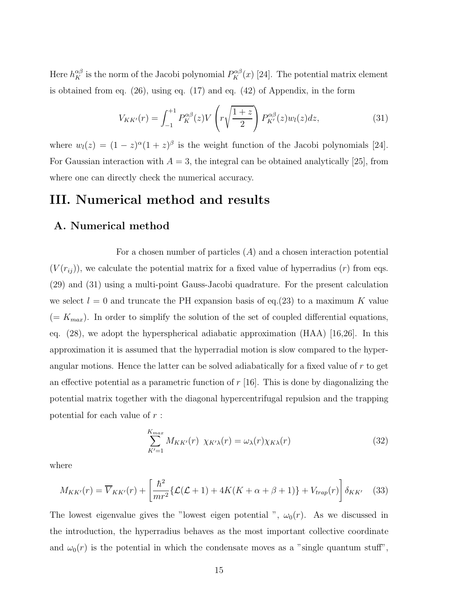Here  $h_K^{\alpha\beta}$  is the norm of the Jacobi polynomial  $P_K^{\alpha\beta}(x)$  [24]. The potential matrix element is obtained from eq. (26), using eq. (17) and eq. (42) of Appendix, in the form

$$
V_{KK'}(r) = \int_{-1}^{+1} P_K^{\alpha\beta}(z) V\left(r\sqrt{\frac{1+z}{2}}\right) P_{K'}^{\alpha\beta}(z) w_l(z) dz,
$$
 (31)

where  $w_l(z) = (1 - z)^{\alpha} (1 + z)^{\beta}$  is the weight function of the Jacobi polynomials [24]. For Gaussian interaction with  $A = 3$ , the integral can be obtained analytically [25], from where one can directly check the numerical accuracy.

## III. Numerical method and results

#### A. Numerical method

For a chosen number of particles  $(A)$  and a chosen interaction potential  $(V(r_{ij}))$ , we calculate the potential matrix for a fixed value of hyperradius  $(r)$  from eqs. (29) and (31) using a multi-point Gauss-Jacobi quadrature. For the present calculation we select  $l = 0$  and truncate the PH expansion basis of eq.(23) to a maximum K value  $(= K_{max})$ . In order to simplify the solution of the set of coupled differential equations, eq.  $(28)$ , we adopt the hyperspherical adiabatic approximation  $(HAA)$  [16,26]. In this approximation it is assumed that the hyperradial motion is slow compared to the hyperangular motions. Hence the latter can be solved adiabatically for a fixed value of r to get an effective potential as a parametric function of  $r$  [16]. This is done by diagonalizing the potential matrix together with the diagonal hypercentrifugal repulsion and the trapping potential for each value of r :

$$
\sum_{K'=1}^{K_{max}} M_{KK'}(r) \ \chi_{K'\lambda}(r) = \omega_{\lambda}(r) \chi_{K\lambda}(r) \tag{32}
$$

where

$$
M_{KK'}(r) = \overline{V}_{KK'}(r) + \left[\frac{\hbar^2}{mr^2} \left\{ \mathcal{L}(\mathcal{L}+1) + 4K(K+\alpha+\beta+1) \right\} + V_{trap}(r) \right] \delta_{KK'} \quad (33)
$$

The lowest eigenvalue gives the "lowest eigen potential ",  $\omega_0(r)$ . As we discussed in the introduction, the hyperradius behaves as the most important collective coordinate and  $\omega_0(r)$  is the potential in which the condensate moves as a "single quantum stuff",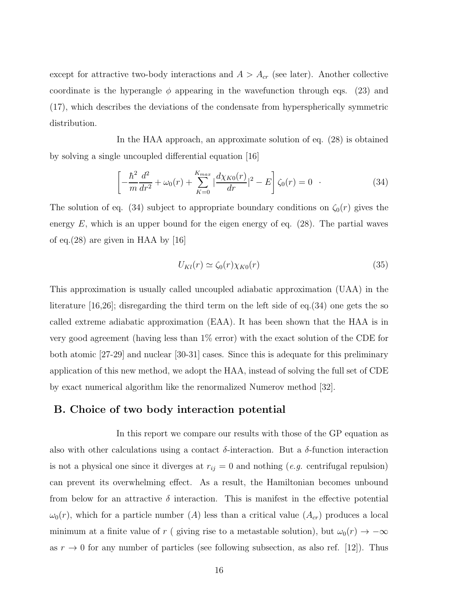except for attractive two-body interactions and  $A > A_{cr}$  (see later). Another collective coordinate is the hyperangle  $\phi$  appearing in the wavefunction through eqs. (23) and (17), which describes the deviations of the condensate from hyperspherically symmetric distribution.

In the HAA approach, an approximate solution of eq. (28) is obtained by solving a single uncoupled differential equation [16]

$$
\left[ -\frac{\hbar^2}{m} \frac{d^2}{dr^2} + \omega_0(r) + \sum_{K=0}^{K_{max}} \left| \frac{d\chi_{K0}(r)}{dr} \right|^2 - E \right] \zeta_0(r) = 0 \quad . \tag{34}
$$

The solution of eq. (34) subject to appropriate boundary conditions on  $\zeta_0(r)$  gives the energy  $E$ , which is an upper bound for the eigen energy of eq. (28). The partial waves of eq.(28) are given in HAA by [16]

$$
U_{Kl}(r) \simeq \zeta_0(r)\chi_{K0}(r) \tag{35}
$$

This approximation is usually called uncoupled adiabatic approximation (UAA) in the literature [16,26]; disregarding the third term on the left side of eq.(34) one gets the so called extreme adiabatic approximation (EAA). It has been shown that the HAA is in very good agreement (having less than 1% error) with the exact solution of the CDE for both atomic [27-29] and nuclear [30-31] cases. Since this is adequate for this preliminary application of this new method, we adopt the HAA, instead of solving the full set of CDE by exact numerical algorithm like the renormalized Numerov method [32].

#### B. Choice of two body interaction potential

In this report we compare our results with those of the GP equation as also with other calculations using a contact  $\delta$ -interaction. But a  $\delta$ -function interaction is not a physical one since it diverges at  $r_{ij} = 0$  and nothing (*e.g.* centrifugal repulsion) can prevent its overwhelming effect. As a result, the Hamiltonian becomes unbound from below for an attractive  $\delta$  interaction. This is manifest in the effective potential  $\omega_0(r)$ , which for a particle number (A) less than a critical value  $(A_{cr})$  produces a local minimum at a finite value of r ( giving rise to a metastable solution), but  $\omega_0(r) \to -\infty$ as  $r \to 0$  for any number of particles (see following subsection, as also ref. [12]). Thus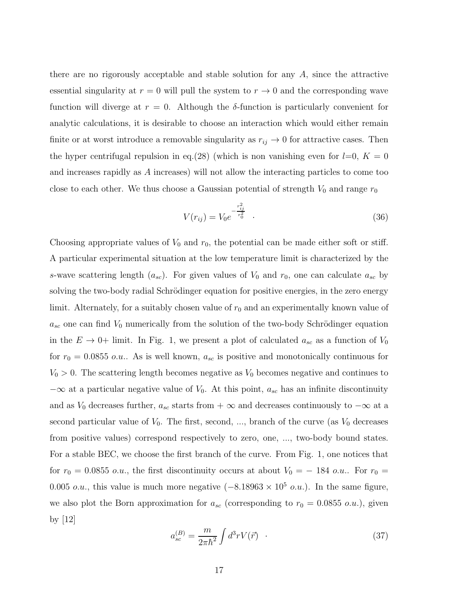there are no rigorously acceptable and stable solution for any A, since the attractive essential singularity at  $r = 0$  will pull the system to  $r \to 0$  and the corresponding wave function will diverge at  $r = 0$ . Although the  $\delta$ -function is particularly convenient for analytic calculations, it is desirable to choose an interaction which would either remain finite or at worst introduce a removable singularity as  $r_{ij} \rightarrow 0$  for attractive cases. Then the hyper centrifugal repulsion in eq.(28) (which is non vanishing even for  $l=0, K = 0$ and increases rapidly as A increases) will not allow the interacting particles to come too close to each other. We thus choose a Gaussian potential of strength  $V_0$  and range  $r_0$ 

$$
V(r_{ij}) = V_0 e^{-\frac{r_{ij}^2}{r_0^2}} \t . \t (36)
$$

Choosing appropriate values of  $V_0$  and  $r_0$ , the potential can be made either soft or stiff. A particular experimental situation at the low temperature limit is characterized by the s-wave scattering length  $(a_{sc})$ . For given values of  $V_0$  and  $r_0$ , one can calculate  $a_{sc}$  by solving the two-body radial Schrödinger equation for positive energies, in the zero energy limit. Alternately, for a suitably chosen value of  $r_0$  and an experimentally known value of  $a_{sc}$  one can find  $V_0$  numerically from the solution of the two-body Schrödinger equation in the  $E \to 0+$  limit. In Fig. 1, we present a plot of calculated  $a_{sc}$  as a function of  $V_0$ for  $r_0 = 0.0855$  o.u.. As is well known,  $a_{sc}$  is positive and monotonically continuous for  $V_0 > 0$ . The scattering length becomes negative as  $V_0$  becomes negative and continues to  $-\infty$  at a particular negative value of  $V_0$ . At this point,  $a_{sc}$  has an infinite discontinuity and as  $V_0$  decreases further,  $a_{sc}$  starts from +  $\infty$  and decreases continuously to  $-\infty$  at a second particular value of  $V_0$ . The first, second, ..., branch of the curve (as  $V_0$  decreases from positive values) correspond respectively to zero, one, ..., two-body bound states. For a stable BEC, we choose the first branch of the curve. From Fig. 1, one notices that for  $r_0 = 0.0855$  o.u., the first discontinuity occurs at about  $V_0 = -184$  o.u.. For  $r_0 =$ 0.005 *o.u.*, this value is much more negative  $(-8.18963 \times 10^5 \text{ o.u.})$ . In the same figure, we also plot the Born approximation for  $a_{sc}$  (corresponding to  $r_0 = 0.0855$  o.u.), given by [12]

$$
a_{sc}^{(B)} = \frac{m}{2\pi\hbar^2} \int d^3r V(\vec{r}) \quad . \tag{37}
$$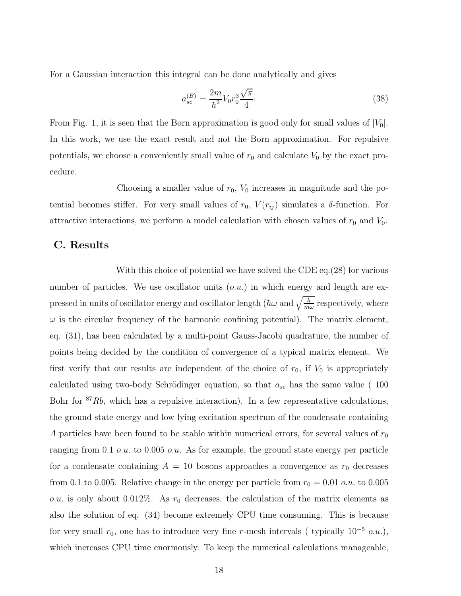For a Gaussian interaction this integral can be done analytically and gives

$$
a_{sc}^{(B)} = \frac{2m}{\hbar^2} V_0 r_0^3 \frac{\sqrt{\pi}}{4}.
$$
\n(38)

From Fig. 1, it is seen that the Born approximation is good only for small values of  $|V_0|$ . In this work, we use the exact result and not the Born approximation. For repulsive potentials, we choose a conveniently small value of  $r_0$  and calculate  $V_0$  by the exact procedure.

Choosing a smaller value of  $r_0$ ,  $V_0$  increases in magnitude and the potential becomes stiffer. For very small values of  $r_0$ ,  $V(r_{ij})$  simulates a  $\delta$ -function. For attractive interactions, we perform a model calculation with chosen values of  $r_0$  and  $V_0$ .

#### C. Results

With this choice of potential we have solved the CDE eq.(28) for various number of particles. We use oscillator units  $(o.u.)$  in which energy and length are expressed in units of oscillator energy and oscillator length ( $\hbar\omega$  and  $\sqrt{\frac{\hbar}{m\omega}}$  respectively, where  $\omega$  is the circular frequency of the harmonic confining potential). The matrix element, eq. (31), has been calculated by a multi-point Gauss-Jacobi quadrature, the number of points being decided by the condition of convergence of a typical matrix element. We first verify that our results are independent of the choice of  $r_0$ , if  $V_0$  is appropriately calculated using two-body Schrödinger equation, so that  $a_{sc}$  has the same value (100) Bohr for  $87Rb$ , which has a repulsive interaction). In a few representative calculations, the ground state energy and low lying excitation spectrum of the condensate containing A particles have been found to be stable within numerical errors, for several values of  $r_0$ ranging from 0.1 o.u. to 0.005 o.u. As for example, the ground state energy per particle for a condensate containing  $A = 10$  bosons approaches a convergence as  $r_0$  decreases from 0.1 to 0.005. Relative change in the energy per particle from  $r_0 = 0.01$  *o.u.* to 0.005 *o.u.* is only about 0.012%. As  $r_0$  decreases, the calculation of the matrix elements as also the solution of eq. (34) become extremely CPU time consuming. This is because for very small  $r_0$ , one has to introduce very fine r-mesh intervals ( typically  $10^{-5}$  o.u.), which increases CPU time enormously. To keep the numerical calculations manageable,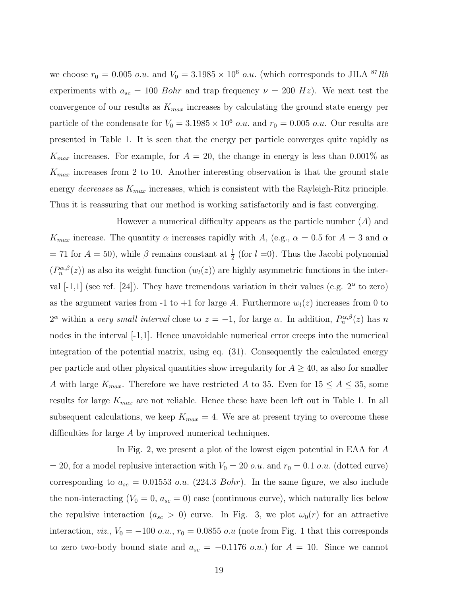we choose  $r_0 = 0.005$  *o.u.* and  $V_0 = 3.1985 \times 10^6$  *o.u.* (which corresponds to JILA <sup>87</sup>Rb experiments with  $a_{sc} = 100$  Bohr and trap frequency  $\nu = 200$  Hz). We next test the convergence of our results as  $K_{max}$  increases by calculating the ground state energy per particle of the condensate for  $V_0 = 3.1985 \times 10^6$  *o.u.* and  $r_0 = 0.005$  *o.u.* Our results are presented in Table 1. It is seen that the energy per particle converges quite rapidly as  $K_{max}$  increases. For example, for  $A = 20$ , the change in energy is less than 0.001% as  $K_{max}$  increases from 2 to 10. Another interesting observation is that the ground state energy *decreases* as  $K_{max}$  increases, which is consistent with the Rayleigh-Ritz principle. Thus it is reassuring that our method is working satisfactorily and is fast converging.

However a numerical difficulty appears as the particle number  $(A)$  and  $K_{max}$  increase. The quantity  $\alpha$  increases rapidly with A, (e.g.,  $\alpha = 0.5$  for  $A = 3$  and  $\alpha$ = 71 for  $A = 50$ ), while  $\beta$  remains constant at  $\frac{1}{2}$  (for  $l = 0$ ). Thus the Jacobi polynomial  $(P_n^{\alpha,\beta}(z))$  as also its weight function  $(w_l(z))$  are highly asymmetric functions in the interval  $[-1,1]$  (see ref.  $[24]$ ). They have tremendous variation in their values (e.g.  $2^{\alpha}$  to zero) as the argument varies from -1 to +1 for large A. Furthermore  $w_l(z)$  increases from 0 to  $2^{\alpha}$  within a *very small interval* close to  $z = -1$ , for large  $\alpha$ . In addition,  $P_n^{\alpha,\beta}(z)$  has n nodes in the interval  $[-1,1]$ . Hence unavoidable numerical error creeps into the numerical integration of the potential matrix, using eq. (31). Consequently the calculated energy per particle and other physical quantities show irregularity for  $A \geq 40$ , as also for smaller A with large  $K_{max}$ . Therefore we have restricted A to 35. Even for  $15 \le A \le 35$ , some results for large  $K_{max}$  are not reliable. Hence these have been left out in Table 1. In all subsequent calculations, we keep  $K_{max} = 4$ . We are at present trying to overcome these difficulties for large A by improved numerical techniques.

In Fig. 2, we present a plot of the lowest eigen potential in EAA for A = 20, for a model replusive interaction with  $V_0 = 20$  *o.u.* and  $r_0 = 0.1$  *o.u.* (dotted curve) corresponding to  $a_{sc} = 0.01553$  o.u. (224.3 Bohr). In the same figure, we also include the non-interacting  $(V_0 = 0, a_{sc} = 0)$  case (continuous curve), which naturally lies below the repulsive interaction ( $a_{sc} > 0$ ) curve. In Fig. 3, we plot  $\omega_0(r)$  for an attractive interaction, *viz.*,  $V_0 = -100$  *o.u.*,  $r_0 = 0.0855$  *o.u* (note from Fig. 1 that this corresponds to zero two-body bound state and  $a_{sc} = -0.1176$  *o.u.*) for  $A = 10$ . Since we cannot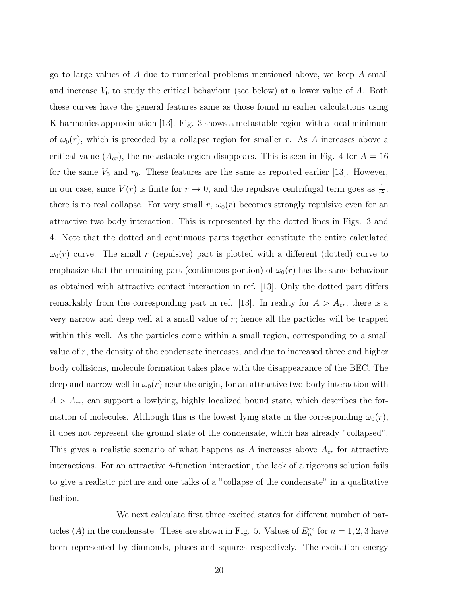go to large values of A due to numerical problems mentioned above, we keep A small and increase  $V_0$  to study the critical behaviour (see below) at a lower value of A. Both these curves have the general features same as those found in earlier calculations using K-harmonics approximation [13]. Fig. 3 shows a metastable region with a local minimum of  $\omega_0(r)$ , which is preceded by a collapse region for smaller r. As A increases above a critical value  $(A_{cr})$ , the metastable region disappears. This is seen in Fig. 4 for  $A = 16$ for the same  $V_0$  and  $r_0$ . These features are the same as reported earlier [13]. However, in our case, since  $V(r)$  is finite for  $r \to 0$ , and the repulsive centrifugal term goes as  $\frac{1}{r^2}$ , there is no real collapse. For very small r,  $\omega_0(r)$  becomes strongly repulsive even for an attractive two body interaction. This is represented by the dotted lines in Figs. 3 and 4. Note that the dotted and continuous parts together constitute the entire calculated  $\omega_0(r)$  curve. The small r (repulsive) part is plotted with a different (dotted) curve to emphasize that the remaining part (continuous portion) of  $\omega_0(r)$  has the same behaviour as obtained with attractive contact interaction in ref. [13]. Only the dotted part differs remarkably from the corresponding part in ref. [13]. In reality for  $A > A_{cr}$ , there is a very narrow and deep well at a small value of  $r$ ; hence all the particles will be trapped within this well. As the particles come within a small region, corresponding to a small value of  $r$ , the density of the condensate increases, and due to increased three and higher body collisions, molecule formation takes place with the disappearance of the BEC. The deep and narrow well in  $\omega_0(r)$  near the origin, for an attractive two-body interaction with  $A > A_{cr}$ , can support a lowlying, highly localized bound state, which describes the formation of molecules. Although this is the lowest lying state in the corresponding  $\omega_0(r)$ , it does not represent the ground state of the condensate, which has already "collapsed". This gives a realistic scenario of what happens as A increases above  $A_{cr}$  for attractive interactions. For an attractive  $\delta$ -function interaction, the lack of a rigorous solution fails to give a realistic picture and one talks of a "collapse of the condensate" in a qualitative fashion.

We next calculate first three excited states for different number of particles (A) in the condensate. These are shown in Fig. 5. Values of  $E_n^{ex}$  for  $n = 1, 2, 3$  have been represented by diamonds, pluses and squares respectively. The excitation energy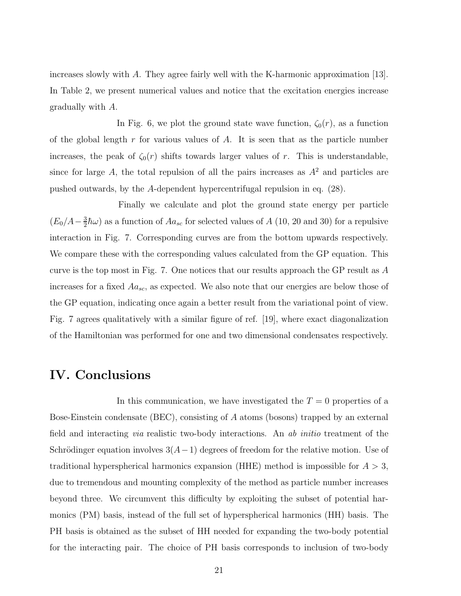increases slowly with A. They agree fairly well with the K-harmonic approximation [13]. In Table 2, we present numerical values and notice that the excitation energies increase gradually with A.

In Fig. 6, we plot the ground state wave function,  $\zeta_0(r)$ , as a function of the global length  $r$  for various values of  $A$ . It is seen that as the particle number increases, the peak of  $\zeta_0(r)$  shifts towards larger values of r. This is understandable, since for large A, the total repulsion of all the pairs increases as  $A<sup>2</sup>$  and particles are pushed outwards, by the A-dependent hypercentrifugal repulsion in eq. (28).

Finally we calculate and plot the ground state energy per particle  $(E_0/A - \frac{3}{2})$  $\frac{3}{2}\hbar\omega$ ) as a function of  $Aa_{sc}$  for selected values of A (10, 20 and 30) for a repulsive interaction in Fig. 7. Corresponding curves are from the bottom upwards respectively. We compare these with the corresponding values calculated from the GP equation. This curve is the top most in Fig. 7. One notices that our results approach the GP result as  $A$ increases for a fixed  $Aa_{sc}$ , as expected. We also note that our energies are below those of the GP equation, indicating once again a better result from the variational point of view. Fig. 7 agrees qualitatively with a similar figure of ref. [19], where exact diagonalization of the Hamiltonian was performed for one and two dimensional condensates respectively.

### IV. Conclusions

In this communication, we have investigated the  $T = 0$  properties of a Bose-Einstein condensate (BEC), consisting of A atoms (bosons) trapped by an external field and interacting *via* realistic two-body interactions. An *ab initio* treatment of the Schrödinger equation involves  $3(A-1)$  degrees of freedom for the relative motion. Use of traditional hyperspherical harmonics expansion (HHE) method is impossible for  $A > 3$ , due to tremendous and mounting complexity of the method as particle number increases beyond three. We circumvent this difficulty by exploiting the subset of potential harmonics (PM) basis, instead of the full set of hyperspherical harmonics (HH) basis. The PH basis is obtained as the subset of HH needed for expanding the two-body potential for the interacting pair. The choice of PH basis corresponds to inclusion of two-body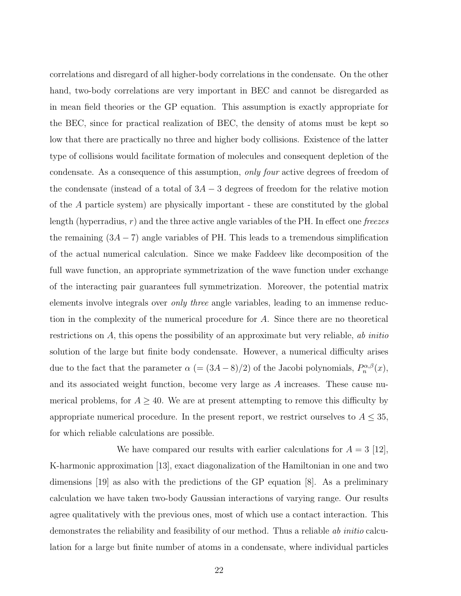correlations and disregard of all higher-body correlations in the condensate. On the other hand, two-body correlations are very important in BEC and cannot be disregarded as in mean field theories or the GP equation. This assumption is exactly appropriate for the BEC, since for practical realization of BEC, the density of atoms must be kept so low that there are practically no three and higher body collisions. Existence of the latter type of collisions would facilitate formation of molecules and consequent depletion of the condensate. As a consequence of this assumption, *only four* active degrees of freedom of the condensate (instead of a total of  $3A - 3$  degrees of freedom for the relative motion of the A particle system) are physically important - these are constituted by the global length (hyperradius, r) and the three active angle variables of the PH. In effect one *freezes* the remaining  $(3A - 7)$  angle variables of PH. This leads to a tremendous simplification of the actual numerical calculation. Since we make Faddeev like decomposition of the full wave function, an appropriate symmetrization of the wave function under exchange of the interacting pair guarantees full symmetrization. Moreover, the potential matrix elements involve integrals over *only three* angle variables, leading to an immense reduction in the complexity of the numerical procedure for A. Since there are no theoretical restrictions on A, this opens the possibility of an approximate but very reliable, *ab initio* solution of the large but finite body condensate. However, a numerical difficulty arises due to the fact that the parameter  $\alpha = (3A - 8)/2$  of the Jacobi polynomials,  $P_n^{\alpha,\beta}(x)$ , and its associated weight function, become very large as A increases. These cause numerical problems, for  $A \geq 40$ . We are at present attempting to remove this difficulty by appropriate numerical procedure. In the present report, we restrict ourselves to  $A \leq 35$ , for which reliable calculations are possible.

We have compared our results with earlier calculations for  $A = 3$  [12], K-harmonic approximation [13], exact diagonalization of the Hamiltonian in one and two dimensions [19] as also with the predictions of the GP equation [8]. As a preliminary calculation we have taken two-body Gaussian interactions of varying range. Our results agree qualitatively with the previous ones, most of which use a contact interaction. This demonstrates the reliability and feasibility of our method. Thus a reliable *ab initio* calculation for a large but finite number of atoms in a condensate, where individual particles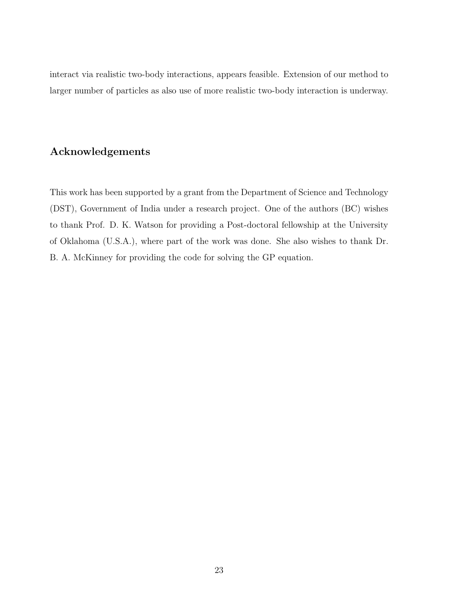interact via realistic two-body interactions, appears feasible. Extension of our method to larger number of particles as also use of more realistic two-body interaction is underway.

### Acknowledgements

This work has been supported by a grant from the Department of Science and Technology (DST), Government of India under a research project. One of the authors (BC) wishes to thank Prof. D. K. Watson for providing a Post-doctoral fellowship at the University of Oklahoma (U.S.A.), where part of the work was done. She also wishes to thank Dr. B. A. McKinney for providing the code for solving the GP equation.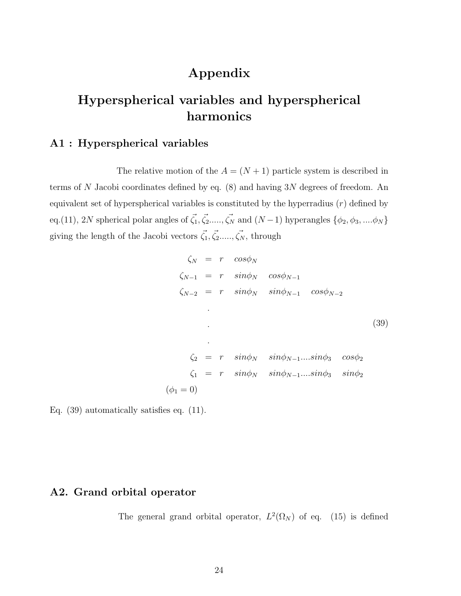# Appendix

# Hyperspherical variables and hyperspherical harmonics

### A1 : Hyperspherical variables

The relative motion of the  $A = (N + 1)$  particle system is described in terms of N Jacobi coordinates defined by eq.  $(8)$  and having 3N degrees of freedom. An equivalent set of hyperspherical variables is constituted by the hyperradius  $(r)$  defined by eq.(11), 2N spherical polar angles of  $\vec{\zeta}_1, \vec{\zeta}_2, ..., \vec{\zeta}_N$  and  $(N-1)$  hyperangles  $\{\phi_2, \phi_3, ..., \phi_N\}$ giving the length of the Jacobi vectors  $\vec{\zeta}_1, \vec{\zeta}_2, ..., \vec{\zeta}_N$ , through

$$
\zeta_N = r \cos\phi_N
$$
  
\n
$$
\zeta_{N-1} = r \sin\phi_N \cos\phi_{N-1}
$$
  
\n
$$
\zeta_{N-2} = r \sin\phi_N \sin\phi_{N-1} \cos\phi_{N-2}
$$
  
\n
$$
\zeta_2 = r \sin\phi_N \sin\phi_{N-1}...\sin\phi_3 \cos\phi_2
$$
  
\n
$$
\zeta_1 = r \sin\phi_N \sin\phi_{N-1}...\sin\phi_3 \sin\phi_2
$$
  
\n
$$
(\phi_1 = 0)
$$

Eq. (39) automatically satisfies eq. (11).

#### A2. Grand orbital operator

The general grand orbital operator,  $L^2(\Omega_N)$  of eq. (15) is defined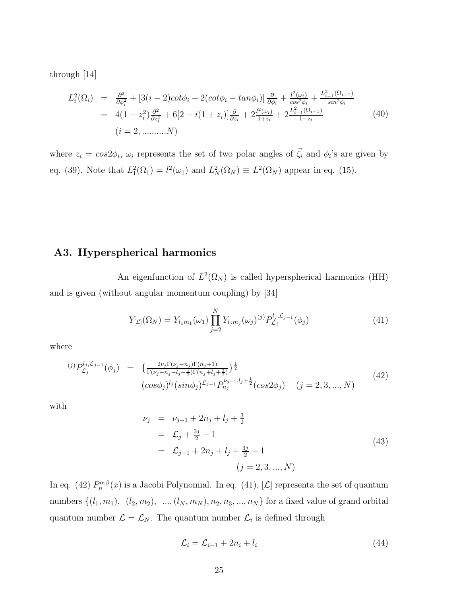through [14]

$$
L_i^2(\Omega_i) = \frac{\partial^2}{\partial \phi_i^2} + [3(i-2)cot\phi_i + 2(cot\phi_i - tan\phi_i)]\frac{\partial}{\partial \phi_i} + \frac{l^2(\omega_i)}{cos^2\phi_i} + \frac{L_{i-1}^2(\Omega_{i-1})}{sin^2\phi_i}
$$
  
=  $4(1 - z_i^2)\frac{\partial^2}{\partial z_i^2} + 6[2 - i(1 + z_i)]\frac{\partial}{\partial z_i} + 2\frac{l^2(\omega_i)}{1 + z_i} + 2\frac{L_{i-1}^2(\Omega_{i-1})}{1 - z_i}$  (40)  
(*i* = 2, .........*N*)

where  $z_i = \cos 2\phi_i$ ,  $\omega_i$  represents the set of two polar angles of  $\vec{\zeta}_i$  and  $\phi_i$ 's are given by eq. (39). Note that  $L_1^2(\Omega_1) = l^2(\omega_1)$  and  $L_N^2(\Omega_N) \equiv L^2(\Omega_N)$  appear in eq. (15).

### A3. Hyperspherical harmonics

An eigenfunction of  $L^2(\Omega_N)$  is called hyperspherical harmonics (HH) and is given (without angular momentum coupling) by [34]

$$
Y_{[\mathcal{L}]}(\Omega_N) = Y_{l_1m_1}(\omega_1) \prod_{j=2}^N Y_{l_jm_j}(\omega_j)^{(j)} P_{\mathcal{L}_j}^{l_j, \mathcal{L}_{j-1}}(\phi_j)
$$
(41)

where

$$
^{(j)}P_{\mathcal{L}_j}^{l_j,\mathcal{L}_{j-1}}(\phi_j) = \left\{ \frac{2\nu_j \Gamma(\nu_j - n_j) \Gamma(n_j + 1)}{\Gamma(\nu_j - n_j - l_j - \frac{1}{2}) \Gamma(n_j + l_j + \frac{3}{2})} \right\}^{\frac{1}{2}} \left( \cos 2\phi_j \right) \quad (j = 2, 3, ..., N)
$$
\n
$$
(42)
$$

with

$$
\nu_j = \nu_{j-1} + 2n_j + l_j + \frac{3}{2}
$$
  
=  $\mathcal{L}_j + \frac{3j}{2} - 1$   
=  $\mathcal{L}_{j-1} + 2n_j + l_j + \frac{3j}{2} - 1$   
(43)  
 $(j = 2, 3, ..., N)$ 

In eq. (42)  $P_n^{\alpha,\beta}(x)$  is a Jacobi Polynomial. In eq. (41), [ $\mathcal{L}$ ] representa the set of quantum numbers  $\{(l_1, m_1), (l_2, m_2), ..., (l_N, m_N), n_2, n_3, ..., n_N\}$  for a fixed value of grand orbital quantum number  $\mathcal{L} = \mathcal{L}_N$ . The quantum number  $\mathcal{L}_i$  is defined through

$$
\mathcal{L}_i = \mathcal{L}_{i-1} + 2n_i + l_i \tag{44}
$$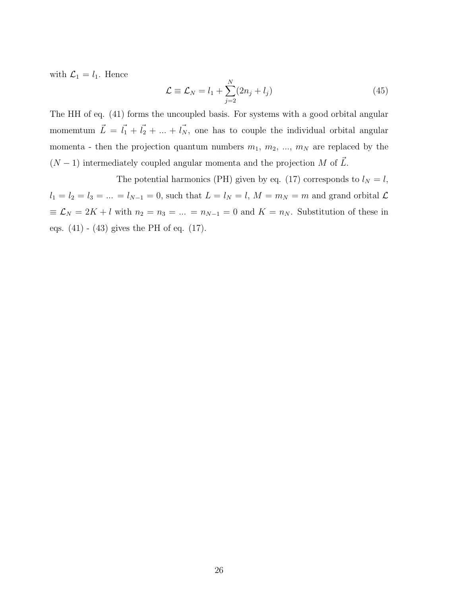with  $\mathcal{L}_1 = l_1$ . Hence

$$
\mathcal{L} \equiv \mathcal{L}_N = l_1 + \sum_{j=2}^N (2n_j + l_j) \tag{45}
$$

The HH of eq. (41) forms the uncoupled basis. For systems with a good orbital angular momemtum  $\vec{L} = \vec{l_1} + \vec{l_2} + ... + \vec{l_N}$ , one has to couple the individual orbital angular momenta - then the projection quantum numbers  $m_1, m_2, ..., m_N$  are replaced by the  $(N-1)$  intermediately coupled angular momenta and the projection M of  $\vec{L}$ .

The potential harmonics (PH) given by eq. (17) corresponds to  $l_N = l$ ,  $l_1 = l_2 = l_3 = \dots = l_{N-1} = 0$ , such that  $L = l_N = l$ ,  $M = m_N = m$  and grand orbital  $\mathcal{L}$  $\equiv \mathcal{L}_N = 2K + l$  with  $n_2 = n_3 = ... = n_{N-1} = 0$  and  $K = n_N$ . Substitution of these in eqs. (41) - (43) gives the PH of eq. (17).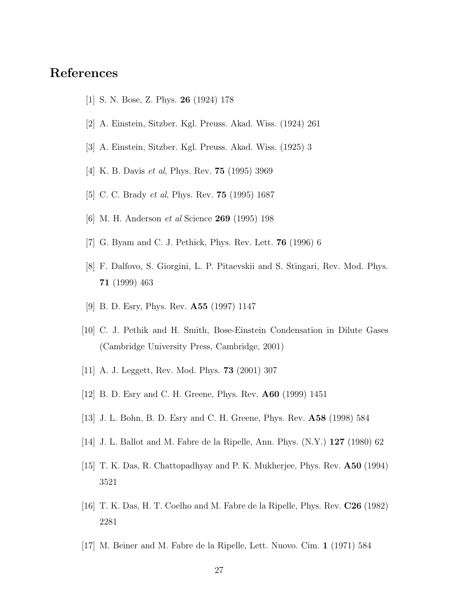## References

- [1] S. N. Bose, Z. Phys. 26 (1924) 178
- [2] A. Einstein, Sitzber. Kgl. Preuss. Akad. Wiss. (1924) 261
- [3] A. Einstein, Sitzber. Kgl. Preuss. Akad. Wiss. (1925) 3
- [4] K. B. Davis *et al*, Phys. Rev. 75 (1995) 3969
- [5] C. C. Brady *et al*, Phys. Rev. 75 (1995) 1687
- [6] M. H. Anderson *et al* Science 269 (1995) 198
- [7] G. Byam and C. J. Pethick, Phys. Rev. Lett. 76 (1996) 6
- [8] F. Dalfovo, S. Giorgini, L. P. Pitaevskii and S. Stingari, Rev. Mod. Phys. 71 (1999) 463
- [9] B. D. Esry, Phys. Rev. A55 (1997) 1147
- [10] C. J. Pethik and H. Smith, Bose-Einstein Condensation in Dilute Gases (Cambridge University Press, Cambridge, 2001)
- [11] A. J. Leggett, Rev. Mod. Phys. 73 (2001) 307
- [12] B. D. Esry and C. H. Greene, Phys. Rev. A60 (1999) 1451
- [13] J. L. Bohn, B. D. Esry and C. H. Greene, Phys. Rev. A58 (1998) 584
- [14] J. L. Ballot and M. Fabre de la Ripelle, Ann. Phys. (N.Y.) 127 (1980) 62
- [15] T. K. Das, R. Chattopadhyay and P. K. Mukherjee, Phys. Rev. A50 (1994) 3521
- [16] T. K. Das, H. T. Coelho and M. Fabre de la Ripelle, Phys. Rev. C26 (1982) 2281
- [17] M. Beiner and M. Fabre de la Ripelle, Lett. Nuovo. Cim. 1 (1971) 584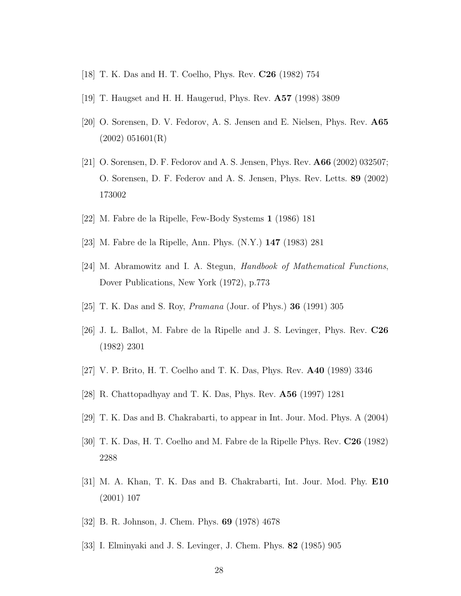- [18] T. K. Das and H. T. Coelho, Phys. Rev. C26 (1982) 754
- [19] T. Haugset and H. H. Haugerud, Phys. Rev. A57 (1998) 3809
- [20] O. Sorensen, D. V. Fedorov, A. S. Jensen and E. Nielsen, Phys. Rev. A65 (2002) 051601(R)
- [21] O. Sorensen, D. F. Fedorov and A. S. Jensen, Phys. Rev. A66 (2002) 032507; O. Sorensen, D. F. Federov and A. S. Jensen, Phys. Rev. Letts. 89 (2002) 173002
- [22] M. Fabre de la Ripelle, Few-Body Systems 1 (1986) 181
- [23] M. Fabre de la Ripelle, Ann. Phys. (N.Y.) 147 (1983) 281
- [24] M. Abramowitz and I. A. Stegun, *Handbook of Mathematical Functions*, Dover Publications, New York (1972), p.773
- [25] T. K. Das and S. Roy, *Pramana* (Jour. of Phys.) 36 (1991) 305
- [26] J. L. Ballot, M. Fabre de la Ripelle and J. S. Levinger, Phys. Rev. C26 (1982) 2301
- [27] V. P. Brito, H. T. Coelho and T. K. Das, Phys. Rev. A40 (1989) 3346
- [28] R. Chattopadhyay and T. K. Das, Phys. Rev. A56 (1997) 1281
- [29] T. K. Das and B. Chakrabarti, to appear in Int. Jour. Mod. Phys. A (2004)
- [30] T. K. Das, H. T. Coelho and M. Fabre de la Ripelle Phys. Rev. C26 (1982) 2288
- [31] M. A. Khan, T. K. Das and B. Chakrabarti, Int. Jour. Mod. Phy. E10 (2001) 107
- [32] B. R. Johnson, J. Chem. Phys. 69 (1978) 4678
- [33] I. Elminyaki and J. S. Levinger, J. Chem. Phys. 82 (1985) 905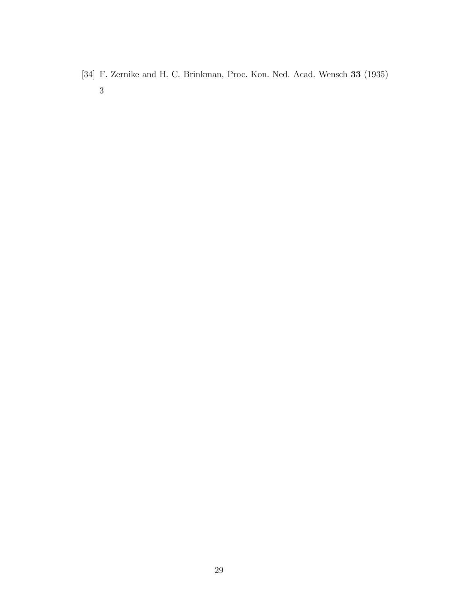[34] F. Zernike and H. C. Brinkman, Proc. Kon. Ned. Acad. Wensch 33 (1935)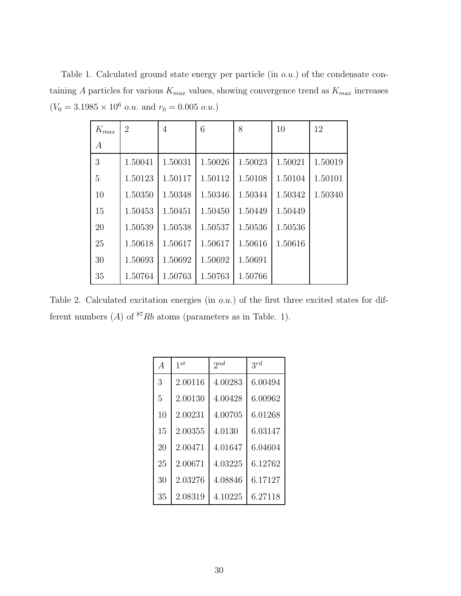Table 1. Calculated ground state energy per particle (in o.u.) of the condensate containing A particles for various  $K_{max}$  values, showing convergence trend as  $K_{max}$  increases  $(V_0 = 3.1985 \times 10^6 \text{ o.u.} \text{ and } r_0 = 0.005 \text{ o.u.})$ 

| $\mathcal{K}_{max}$ | $\overline{2}$ | $\overline{4}$ | 6       | 8       | 10      | 12      |
|---------------------|----------------|----------------|---------|---------|---------|---------|
| А                   |                |                |         |         |         |         |
| 3                   | 1.50041        | 1.50031        | 1.50026 | 1.50023 | 1.50021 | 1.50019 |
| 5                   | 1.50123        | 1.50117        | 1.50112 | 1.50108 | 1.50104 | 1.50101 |
| 10                  | 1.50350        | 1.50348        | 1.50346 | 1.50344 | 1.50342 | 1.50340 |
| 15                  | 1.50453        | 1.50451        | 1.50450 | 1.50449 | 1.50449 |         |
| 20                  | 1.50539        | 1.50538        | 1.50537 | 1.50536 | 1.50536 |         |
| 25                  | 1.50618        | 1.50617        | 1.50617 | 1.50616 | 1.50616 |         |
| 30                  | 1.50693        | 1.50692        | 1.50692 | 1.50691 |         |         |
| 35                  | 1.50764        | 1.50763        | 1.50763 | 1.50766 |         |         |

Table 2. Calculated excitation energies (in  $o.u.$ ) of the first three excited states for different numbers  $(A)$  of <sup>87</sup>Rb atoms (parameters as in Table. 1).

| $\overline{A}$ | $1^{st}$ | $2^{nd}$ | $3^{rd}$ |
|----------------|----------|----------|----------|
| 3              | 2.00116  | 4.00283  | 6.00494  |
| 5              | 2.00130  | 4.00428  | 6.00962  |
| 10             | 2.00231  | 4.00705  | 6.01268  |
| 15             | 2.00355  | 4.0130   | 6.03147  |
| 20             | 2.00471  | 4.01647  | 6.04604  |
| 25             | 2.00671  | 4.03225  | 6.12762  |
| 30             | 2.03276  | 4.08846  | 6.17127  |
| 35             | 2.08319  | 4.10225  | 6.27118  |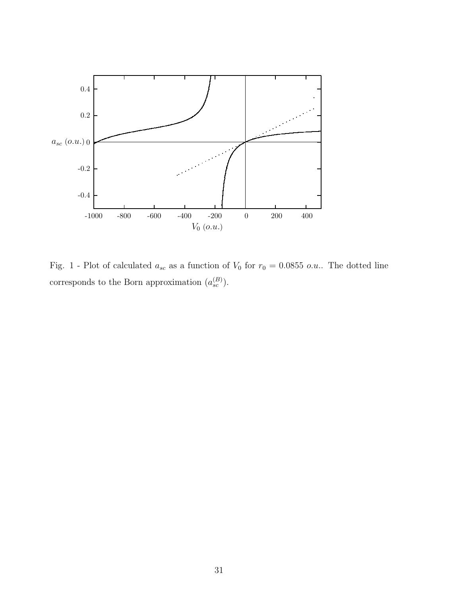

Fig. 1 - Plot of calculated  $a_{sc}$  as a function of  $V_0$  for  $r_0 = 0.0855$  o.u.. The dotted line corresponds to the Born approximation  $(a_{sc}^{(B)})$ .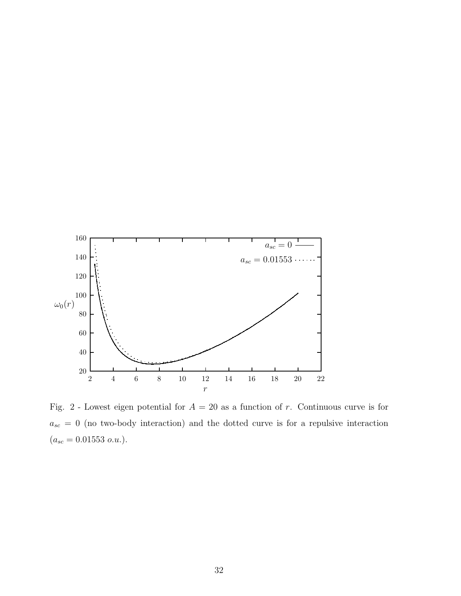

Fig. 2 - Lowest eigen potential for  $A = 20$  as a function of r. Continuous curve is for  $a_{sc} = 0$  (no two-body interaction) and the dotted curve is for a repulsive interaction  $(a_{sc} = 0.01553 \ o.u.).$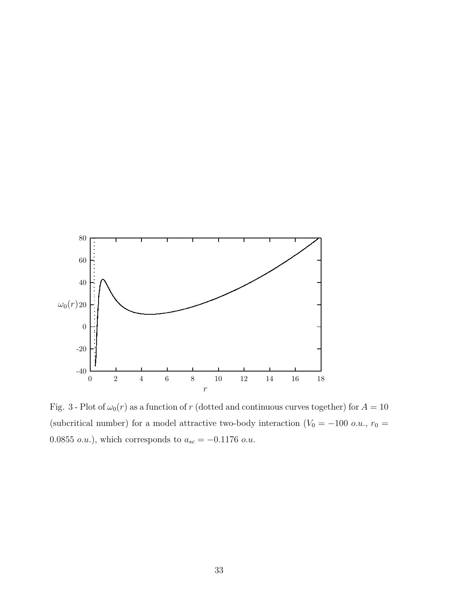

Fig. 3 - Plot of  $\omega_0(r)$  as a function of r (dotted and continuous curves together) for  $A = 10$ (subcritical number) for a model attractive two-body interaction ( $V_0 = -100$  o.u.,  $r_0 =$ 0.0855  $o.u.$ ), which corresponds to  $a_{sc} = -0.1176$   $o.u.$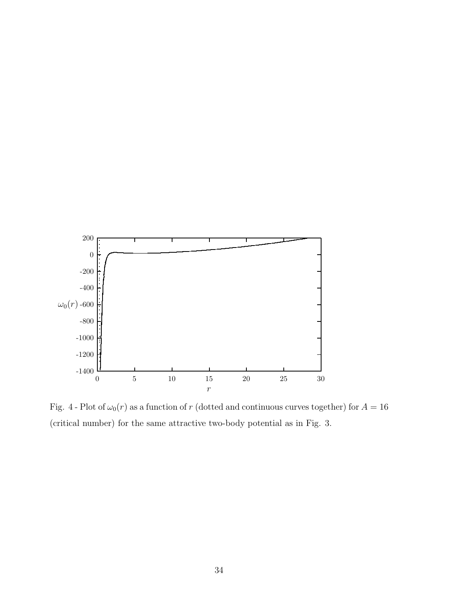

Fig. 4 - Plot of  $\omega_0(r)$  as a function of r (dotted and continuous curves together) for  $A = 16$ (critical number) for the same attractive two-body potential as in Fig. 3.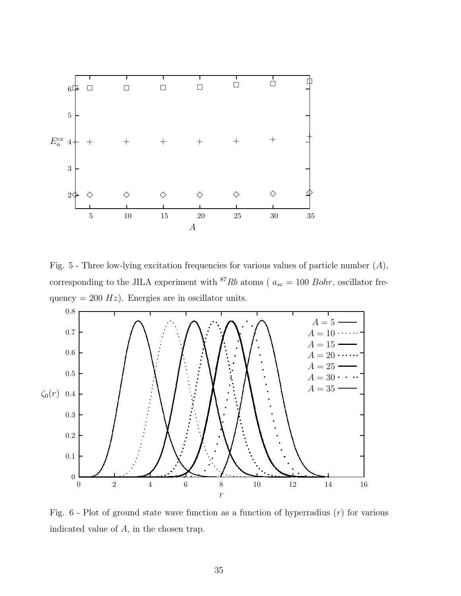

Fig.  $5$  - Three low-lying excitation frequencies for various values of particle number  $(A)$ , corresponding to the JILA experiment with <sup>87</sup>Rb atoms ( $a_{sc} = 100$  Bohr, oscillator frequency = 200  $Hz$ ). Energies are in oscillator units.



Fig.  $6$  - Plot of ground state wave function as a function of hyperradius  $(r)$  for various indicated value of A, in the chosen trap.